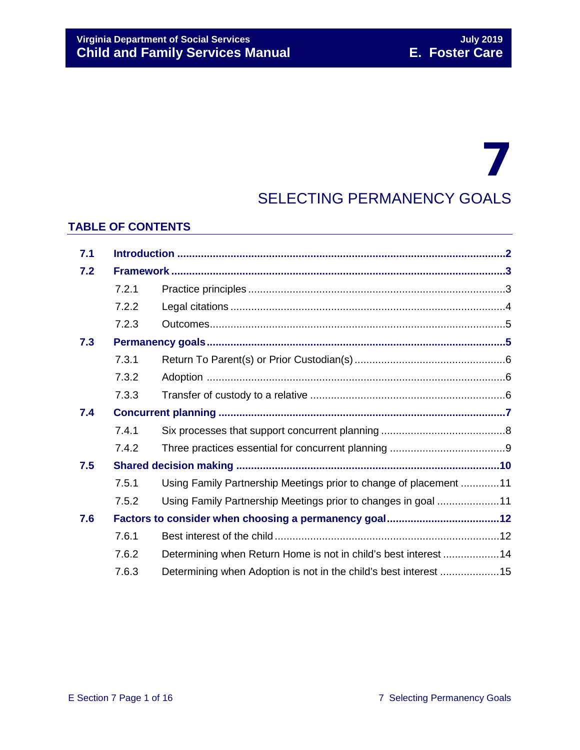## 7 SELECTING PERMANENCY GOALS

## **TABLE OF CONTENTS**

| 7.1 |       |                                                                   |  |
|-----|-------|-------------------------------------------------------------------|--|
| 7.2 |       |                                                                   |  |
|     | 7.2.1 |                                                                   |  |
|     | 7.2.2 |                                                                   |  |
|     | 7.2.3 |                                                                   |  |
| 7.3 |       |                                                                   |  |
|     | 7.3.1 |                                                                   |  |
|     | 7.3.2 |                                                                   |  |
|     | 7.3.3 |                                                                   |  |
| 7.4 |       |                                                                   |  |
|     | 7.4.1 |                                                                   |  |
|     | 7.4.2 |                                                                   |  |
| 7.5 |       |                                                                   |  |
|     | 7.5.1 | Using Family Partnership Meetings prior to change of placement 11 |  |
|     | 7.5.2 | Using Family Partnership Meetings prior to changes in goal 11     |  |
| 7.6 |       |                                                                   |  |
|     | 7.6.1 |                                                                   |  |
|     | 7.6.2 | Determining when Return Home is not in child's best interest 14   |  |
|     | 7.6.3 | Determining when Adoption is not in the child's best interest 15  |  |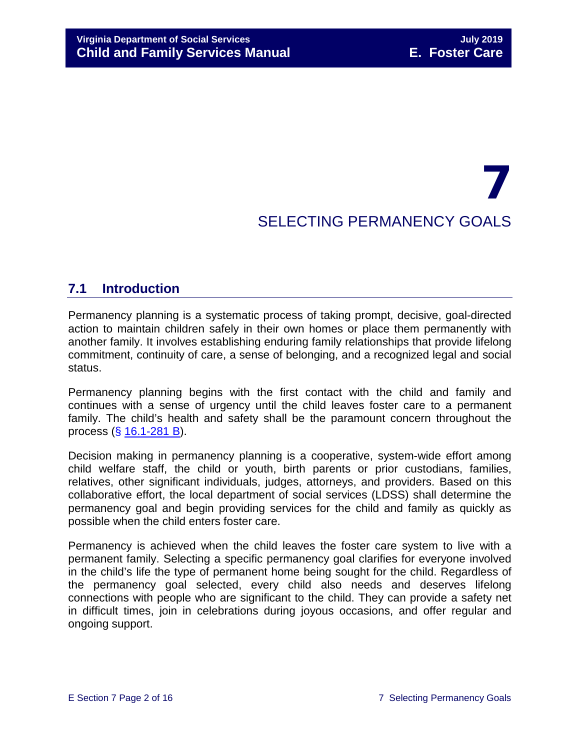# 7 SELECTING PERMANENCY GOALS

## <span id="page-1-0"></span>**7.1 Introduction**

Permanency planning is a systematic process of taking prompt, decisive, goal-directed action to maintain children safely in their own homes or place them permanently with another family. It involves establishing enduring family relationships that provide lifelong commitment, continuity of care, a sense of belonging, and a recognized legal and social status.

Permanency planning begins with the first contact with the child and family and continues with a sense of urgency until the child leaves foster care to a permanent family. The child's health and safety shall be the paramount concern throughout the process (§ [16.1-281 B\)](http://law.lis.virginia.gov/vacode/16.1-281/).

Decision making in permanency planning is a cooperative, system-wide effort among child welfare staff, the child or youth, birth parents or prior custodians, families, relatives, other significant individuals, judges, attorneys, and providers. Based on this collaborative effort, the local department of social services (LDSS) shall determine the permanency goal and begin providing services for the child and family as quickly as possible when the child enters foster care.

Permanency is achieved when the child leaves the foster care system to live with a permanent family. Selecting a specific permanency goal clarifies for everyone involved in the child's life the type of permanent home being sought for the child. Regardless of the permanency goal selected, every child also needs and deserves lifelong connections with people who are significant to the child. They can provide a safety net in difficult times, join in celebrations during joyous occasions, and offer regular and ongoing support.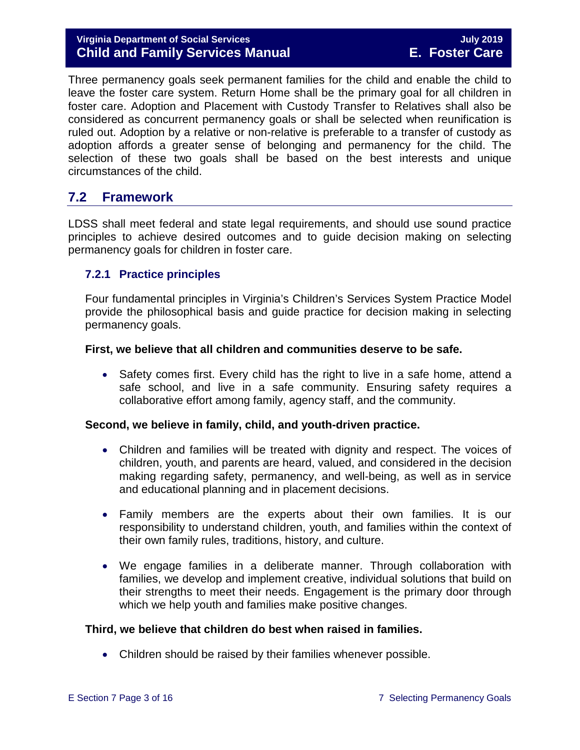#### **Virginia Department of Social Services July 2019 Child and Family Services Manual E. Foster Care**

Three permanency goals seek permanent families for the child and enable the child to leave the foster care system. Return Home shall be the primary goal for all children in foster care. Adoption and Placement with Custody Transfer to Relatives shall also be considered as concurrent permanency goals or shall be selected when reunification is ruled out. Adoption by a relative or non-relative is preferable to a transfer of custody as adoption affords a greater sense of belonging and permanency for the child. The selection of these two goals shall be based on the best interests and unique circumstances of the child.

## <span id="page-2-0"></span>**7.2 Framework**

LDSS shall meet federal and state legal requirements, and should use sound practice principles to achieve desired outcomes and to guide decision making on selecting permanency goals for children in foster care.

#### <span id="page-2-1"></span>**7.2.1 Practice principles**

Four fundamental principles in Virginia's Children's Services System Practice Model provide the philosophical basis and guide practice for decision making in selecting permanency goals.

#### **First, we believe that all children and communities deserve to be safe.**

• Safety comes first. Every child has the right to live in a safe home, attend a safe school, and live in a safe community. Ensuring safety requires a collaborative effort among family, agency staff, and the community.

#### **Second, we believe in family, child, and youth-driven practice.**

- Children and families will be treated with dignity and respect. The voices of children, youth, and parents are heard, valued, and considered in the decision making regarding safety, permanency, and well-being, as well as in service and educational planning and in placement decisions.
- Family members are the experts about their own families. It is our responsibility to understand children, youth, and families within the context of their own family rules, traditions, history, and culture.
- We engage families in a deliberate manner. Through collaboration with families, we develop and implement creative, individual solutions that build on their strengths to meet their needs. Engagement is the primary door through which we help youth and families make positive changes.

#### **Third, we believe that children do best when raised in families.**

• Children should be raised by their families whenever possible.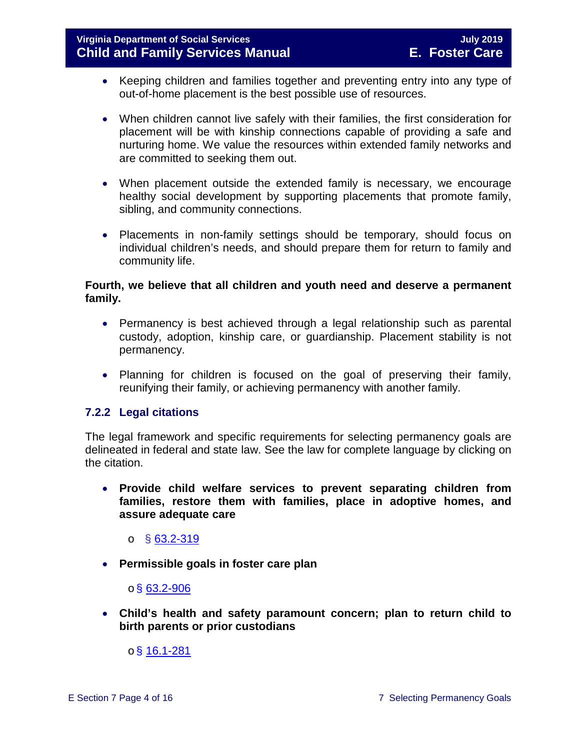- Keeping children and families together and preventing entry into any type of out-of-home placement is the best possible use of resources.
- When children cannot live safely with their families, the first consideration for placement will be with kinship connections capable of providing a safe and nurturing home. We value the resources within extended family networks and are committed to seeking them out.
- When placement outside the extended family is necessary, we encourage healthy social development by supporting placements that promote family, sibling, and community connections.
- Placements in non-family settings should be temporary, should focus on individual children's needs, and should prepare them for return to family and community life.

#### **Fourth, we believe that all children and youth need and deserve a permanent family.**

- Permanency is best achieved through a legal relationship such as parental custody, adoption, kinship care, or guardianship. Placement stability is not permanency.
- Planning for children is focused on the goal of preserving their family, reunifying their family, or achieving permanency with another family.

#### <span id="page-3-0"></span>**7.2.2 Legal citations**

The legal framework and specific requirements for selecting permanency goals are delineated in federal and state law. See the law for complete language by clicking on the citation.

• **Provide child welfare services to prevent separating children from families, restore them with families, place in adoptive homes, and assure adequate care**

o § [63.2-319](http://law.lis.virginia.gov/vacode/63.2-319/)

• **Permissible goals in foster care plan** 

#### $\circ$ § [63.2-906](http://law.lis.virginia.gov/vacode/63.2-906/)

• **Child's health and safety paramount concern; plan to return child to birth parents or prior custodians**

 $o$ § [16.1-281](http://law.lis.virginia.gov/vacode/16.1-281/)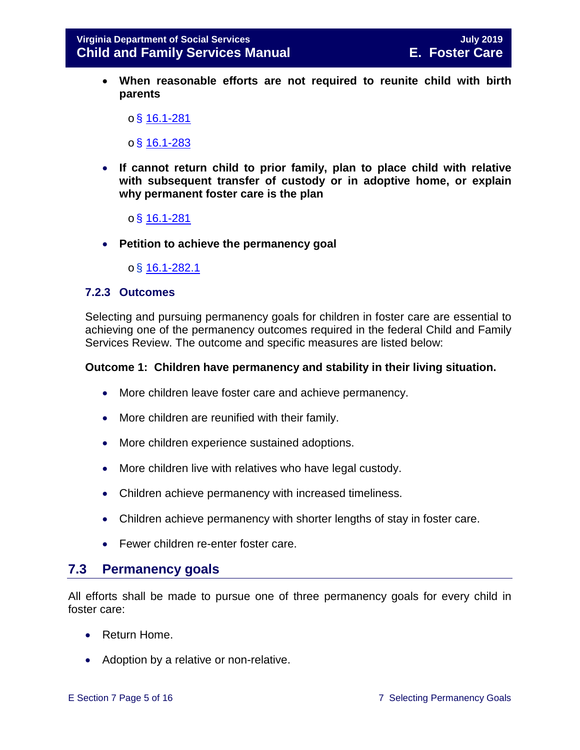• **When reasonable efforts are not required to reunite child with birth parents** 

 $o$ § [16.1-281](http://law.lis.virginia.gov/vacode/16.1-281/)

 $o$ § [16.1-283](http://law.lis.virginia.gov/vacode/16.1-283/)

- **If cannot return child to prior family, plan to place child with relative with subsequent transfer of custody or in adoptive home, or explain why permanent foster care is the plan** 
	- o§ [16.1-281](http://law.lis.virginia.gov/vacode/16.1-281/)
- **Petition to achieve the permanency goal**

o§ [16.1-282.1](http://law.lis.virginia.gov/vacode/16.1-282.1/)

#### <span id="page-4-0"></span>**7.2.3 Outcomes**

Selecting and pursuing permanency goals for children in foster care are essential to achieving one of the permanency outcomes required in the federal Child and Family Services Review. The outcome and specific measures are listed below:

#### **Outcome 1: Children have permanency and stability in their living situation.**

- More children leave foster care and achieve permanency.
- More children are reunified with their family.
- More children experience sustained adoptions.
- More children live with relatives who have legal custody.
- Children achieve permanency with increased timeliness.
- Children achieve permanency with shorter lengths of stay in foster care.
- Fewer children re-enter foster care.

### <span id="page-4-1"></span>**7.3 Permanency goals**

All efforts shall be made to pursue one of three permanency goals for every child in foster care:

- Return Home.
- Adoption by a relative or non-relative.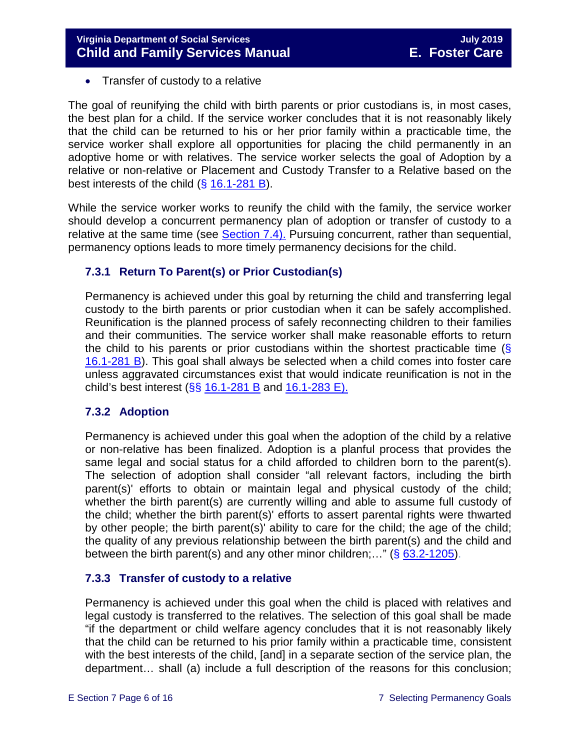• Transfer of custody to a relative

The goal of reunifying the child with birth parents or prior custodians is, in most cases, the best plan for a child. If the service worker concludes that it is not reasonably likely that the child can be returned to his or her prior family within a practicable time, the service worker shall explore all opportunities for placing the child permanently in an adoptive home or with relatives. The service worker selects the goal of Adoption by a relative or non-relative or Placement and Custody Transfer to a Relative based on the best interests of the child (§ [16.1-281 B\)](http://law.lis.virginia.gov/vacode/title16.1/chapter11/section16.1-282/).

While the service worker works to reunify the child with the family, the service worker should develop a concurrent permanency plan of adoption or transfer of custody to a relative at the same time (see [Section 7.4\).](#page-6-0) Pursuing concurrent, rather than sequential, permanency options leads to more timely permanency decisions for the child.

#### <span id="page-5-0"></span>**7.3.1 Return To Parent(s) or Prior Custodian(s)**

Permanency is achieved under this goal by returning the child and transferring legal custody to the birth parents or prior custodian when it can be safely accomplished. Reunification is the planned process of safely reconnecting children to their families and their communities. The service worker shall make reasonable efforts to return the child to his parents or prior custodians within the shortest practicable time  $\langle \xi \rangle$ [16.1-281 B\)](http://law.lis.virginia.gov/vacode/16.1-281/). This goal shall always be selected when a child comes into foster care unless aggravated circumstances exist that would indicate reunification is not in the child's best interest ( $\S$ § [16.1-281 B](http://law.lis.virginia.gov/vacode/16.1-281/) and [16.1-283 E\).](http://law.lis.virginia.gov/vacode/16.1-283/)

#### <span id="page-5-1"></span>**7.3.2 Adoption**

Permanency is achieved under this goal when the adoption of the child by a relative or non-relative has been finalized. Adoption is a planful process that provides the same legal and social status for a child afforded to children born to the parent(s). The selection of adoption shall consider "all relevant factors, including the birth parent(s)' efforts to obtain or maintain legal and physical custody of the child; whether the birth parent(s) are currently willing and able to assume full custody of the child; whether the birth parent(s)' efforts to assert parental rights were thwarted by other people; the birth parent(s)' ability to care for the child; the age of the child; the quality of any previous relationship between the birth parent(s) and the child and between the birth parent(s) and any other minor children;..." ( $\S$  [63.2-1205\)](http://law.lis.virginia.gov/vacode/63.2-1205/).

#### <span id="page-5-2"></span>**7.3.3 Transfer of custody to a relative**

Permanency is achieved under this goal when the child is placed with relatives and legal custody is transferred to the relatives. The selection of this goal shall be made "if the department or child welfare agency concludes that it is not reasonably likely that the child can be returned to his prior family within a practicable time, consistent with the best interests of the child, [and] in a separate section of the service plan, the department… shall (a) include a full description of the reasons for this conclusion;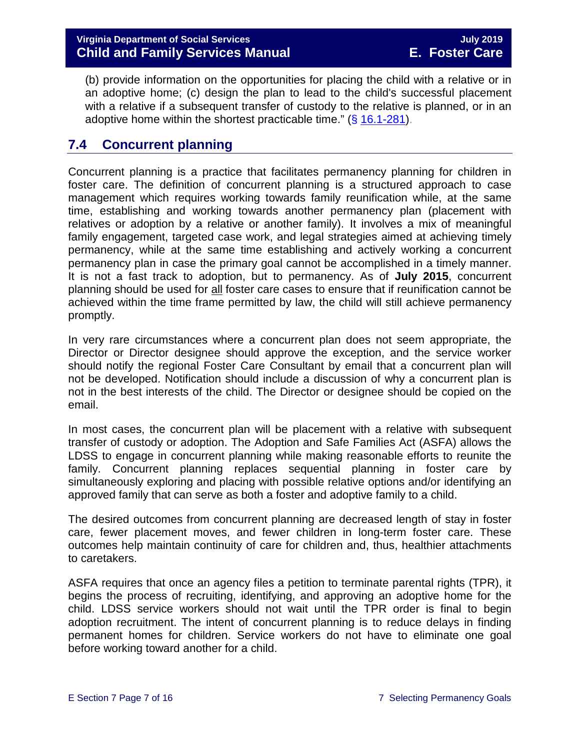(b) provide information on the opportunities for placing the child with a relative or in an adoptive home; (c) design the plan to lead to the child's successful placement with a relative if a subsequent transfer of custody to the relative is planned, or in an adoptive home within the shortest practicable time." (§ [16.1-281\)](http://law.lis.virginia.gov/vacode/16.1-281/).

## <span id="page-6-0"></span>**7.4 Concurrent planning**

Concurrent planning is a practice that facilitates permanency planning for children in foster care. The definition of concurrent planning is a structured approach to case management which requires working towards family reunification while, at the same time, establishing and working towards another permanency plan (placement with relatives or adoption by a relative or another family). It involves a mix of meaningful family engagement, targeted case work, and legal strategies aimed at achieving timely permanency, while at the same time establishing and actively working a concurrent permanency plan in case the primary goal cannot be accomplished in a timely manner. It is not a fast track to adoption, but to permanency. As of **July 2015**, concurrent planning should be used for all foster care cases to ensure that if reunification cannot be achieved within the time frame permitted by law, the child will still achieve permanency promptly.

In very rare circumstances where a concurrent plan does not seem appropriate, the Director or Director designee should approve the exception, and the service worker should notify the regional Foster Care Consultant by email that a concurrent plan will not be developed. Notification should include a discussion of why a concurrent plan is not in the best interests of the child. The Director or designee should be copied on the email.

In most cases, the concurrent plan will be placement with a relative with subsequent transfer of custody or adoption. The Adoption and Safe Families Act (ASFA) allows the LDSS to engage in concurrent planning while making reasonable efforts to reunite the family. Concurrent planning replaces sequential planning in foster care by simultaneously exploring and placing with possible relative options and/or identifying an approved family that can serve as both a foster and adoptive family to a child.

The desired outcomes from concurrent planning are decreased length of stay in foster care, fewer placement moves, and fewer children in long-term foster care. These outcomes help maintain continuity of care for children and, thus, healthier attachments to caretakers.

ASFA requires that once an agency files a petition to terminate parental rights (TPR), it begins the process of recruiting, identifying, and approving an adoptive home for the child. LDSS service workers should not wait until the TPR order is final to begin adoption recruitment. The intent of concurrent planning is to reduce delays in finding permanent homes for children. Service workers do not have to eliminate one goal before working toward another for a child.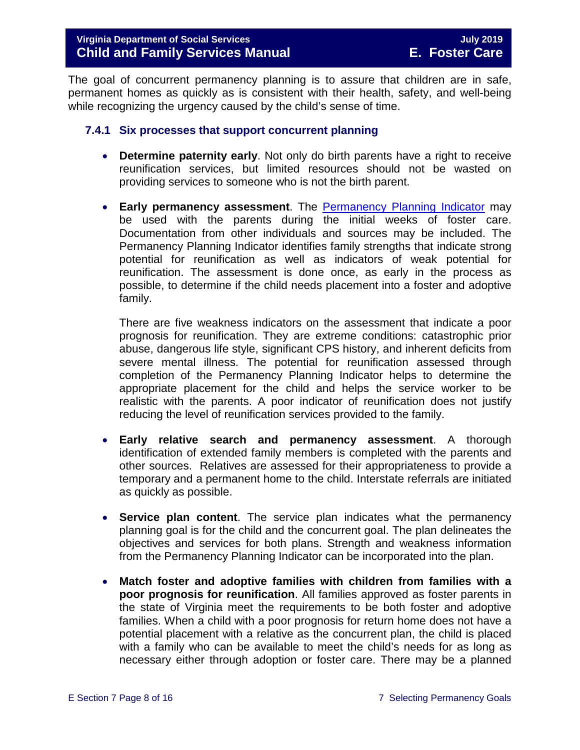The goal of concurrent permanency planning is to assure that children are in safe, permanent homes as quickly as is consistent with their health, safety, and well-being while recognizing the urgency caused by the child's sense of time.

#### <span id="page-7-0"></span>**7.4.1 Six processes that support concurrent planning**

- **Determine paternity early**. Not only do birth parents have a right to receive reunification services, but limited resources should not be wasted on providing services to someone who is not the birth parent.
- **Early permanency assessment**. The Permanency [Planning Indicator](https://fusion.dss.virginia.gov/Portals/%5bdfs%5d/Files/DFS%20FORMS/Foster%20Care%20Forms/Permanency%20Planning%20Indicator.pdf) may be used with the parents during the initial weeks of foster care. Documentation from other individuals and sources may be included. The Permanency Planning Indicator identifies family strengths that indicate strong potential for reunification as well as indicators of weak potential for reunification. The assessment is done once, as early in the process as possible, to determine if the child needs placement into a foster and adoptive family.

There are five weakness indicators on the assessment that indicate a poor prognosis for reunification. They are extreme conditions: catastrophic prior abuse, dangerous life style, significant CPS history, and inherent deficits from severe mental illness. The potential for reunification assessed through completion of the Permanency Planning Indicator helps to determine the appropriate placement for the child and helps the service worker to be realistic with the parents. A poor indicator of reunification does not justify reducing the level of reunification services provided to the family.

- **Early relative search and permanency assessment**. A thorough identification of extended family members is completed with the parents and other sources. Relatives are assessed for their appropriateness to provide a temporary and a permanent home to the child. Interstate referrals are initiated as quickly as possible.
- **Service plan content**. The service plan indicates what the permanency planning goal is for the child and the concurrent goal. The plan delineates the objectives and services for both plans. Strength and weakness information from the Permanency Planning Indicator can be incorporated into the plan.
- **Match foster and adoptive families with children from families with a poor prognosis for reunification**. All families approved as foster parents in the state of Virginia meet the requirements to be both foster and adoptive families. When a child with a poor prognosis for return home does not have a potential placement with a relative as the concurrent plan, the child is placed with a family who can be available to meet the child's needs for as long as necessary either through adoption or foster care. There may be a planned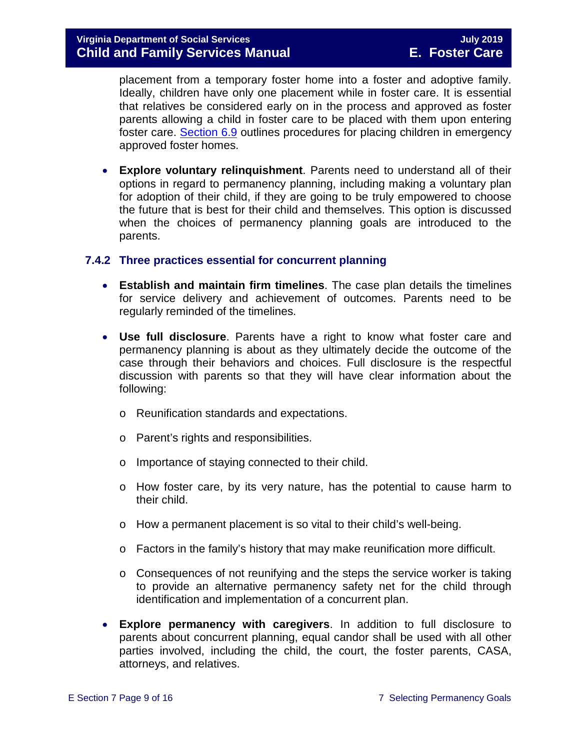placement from a temporary foster home into a foster and adoptive family. Ideally, children have only one placement while in foster care. It is essential that relatives be considered early on in the process and approved as foster parents allowing a child in foster care to be placed with them upon entering foster care. [Section 6.9](https://fusion.dss.virginia.gov/Portals/%5bdfs%5d/Files/DFS%20Manuals/Foster%20Care%20Manuals/Foster%20Care%20Manual%2007-2019/section_6_placement_to_achieve_permanency.pdf#page=27) outlines procedures for placing children in emergency approved foster homes.

• **Explore voluntary relinquishment**. Parents need to understand all of their options in regard to permanency planning, including making a voluntary plan for adoption of their child, if they are going to be truly empowered to choose the future that is best for their child and themselves. This option is discussed when the choices of permanency planning goals are introduced to the parents.

#### <span id="page-8-0"></span>**7.4.2 Three practices essential for concurrent planning**

- **Establish and maintain firm timelines**. The case plan details the timelines for service delivery and achievement of outcomes. Parents need to be regularly reminded of the timelines.
- **Use full disclosure**. Parents have a right to know what foster care and permanency planning is about as they ultimately decide the outcome of the case through their behaviors and choices. Full disclosure is the respectful discussion with parents so that they will have clear information about the following:
	- o Reunification standards and expectations.
	- o Parent's rights and responsibilities.
	- o Importance of staying connected to their child.
	- o How foster care, by its very nature, has the potential to cause harm to their child.
	- o How a permanent placement is so vital to their child's well-being.
	- o Factors in the family's history that may make reunification more difficult.
	- o Consequences of not reunifying and the steps the service worker is taking to provide an alternative permanency safety net for the child through identification and implementation of a concurrent plan.
- **Explore permanency with caregivers**. In addition to full disclosure to parents about concurrent planning, equal candor shall be used with all other parties involved, including the child, the court, the foster parents, CASA, attorneys, and relatives.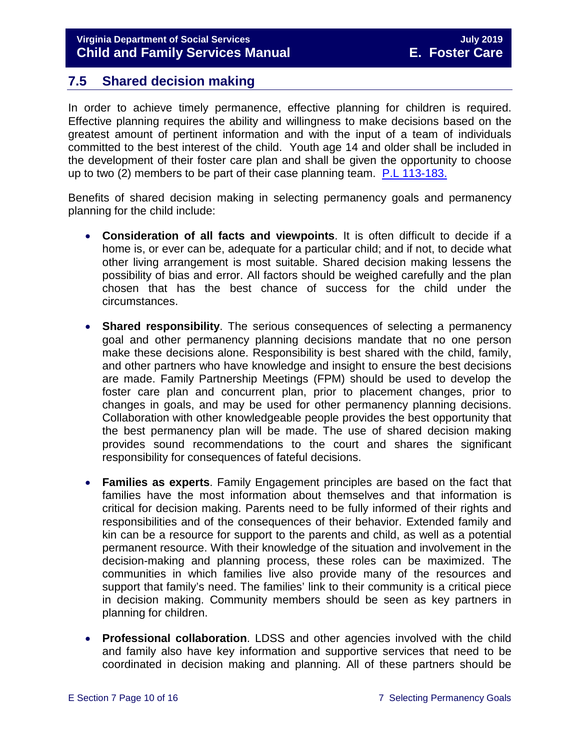## <span id="page-9-0"></span>**7.5 Shared decision making**

In order to achieve timely permanence, effective planning for children is required. Effective planning requires the ability and willingness to make decisions based on the greatest amount of pertinent information and with the input of a team of individuals committed to the best interest of the child. Youth age 14 and older shall be included in the development of their foster care plan and shall be given the opportunity to choose up to two (2) members to be part of their case planning team. [P.L 113-183.](https://www.congress.gov/113/plaws/publ183/PLAW-113publ183.pdf)

Benefits of shared decision making in selecting permanency goals and permanency planning for the child include:

- **Consideration of all facts and viewpoints**. It is often difficult to decide if a home is, or ever can be, adequate for a particular child; and if not, to decide what other living arrangement is most suitable. Shared decision making lessens the possibility of bias and error. All factors should be weighed carefully and the plan chosen that has the best chance of success for the child under the circumstances.
- **Shared responsibility**. The serious consequences of selecting a permanency goal and other permanency planning decisions mandate that no one person make these decisions alone. Responsibility is best shared with the child, family, and other partners who have knowledge and insight to ensure the best decisions are made. Family Partnership Meetings (FPM) should be used to develop the foster care plan and concurrent plan, prior to placement changes, prior to changes in goals, and may be used for other permanency planning decisions. Collaboration with other knowledgeable people provides the best opportunity that the best permanency plan will be made. The use of shared decision making provides sound recommendations to the court and shares the significant responsibility for consequences of fateful decisions.
- **Families as experts**. Family Engagement principles are based on the fact that families have the most information about themselves and that information is critical for decision making. Parents need to be fully informed of their rights and responsibilities and of the consequences of their behavior. Extended family and kin can be a resource for support to the parents and child, as well as a potential permanent resource. With their knowledge of the situation and involvement in the decision-making and planning process, these roles can be maximized. The communities in which families live also provide many of the resources and support that family's need. The families' link to their community is a critical piece in decision making. Community members should be seen as key partners in planning for children.
- **Professional collaboration**. LDSS and other agencies involved with the child and family also have key information and supportive services that need to be coordinated in decision making and planning. All of these partners should be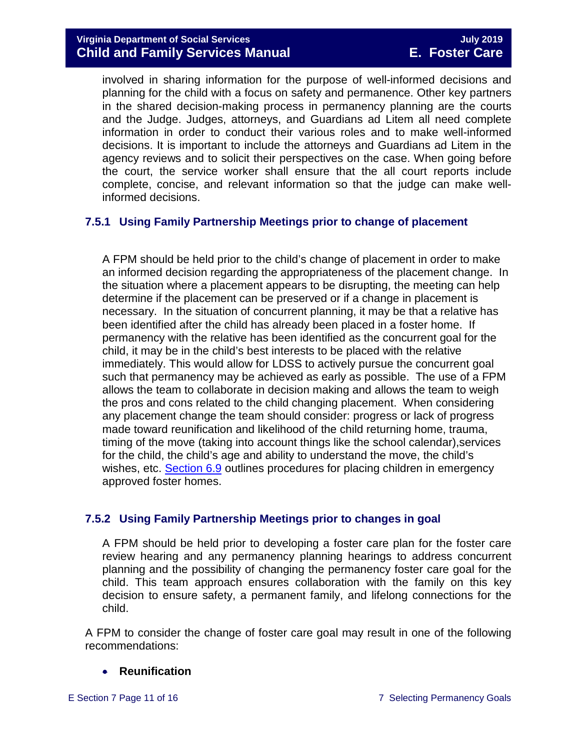involved in sharing information for the purpose of well-informed decisions and planning for the child with a focus on safety and permanence. Other key partners in the shared decision-making process in permanency planning are the courts and the Judge. Judges, attorneys, and Guardians ad Litem all need complete information in order to conduct their various roles and to make well-informed decisions. It is important to include the attorneys and Guardians ad Litem in the agency reviews and to solicit their perspectives on the case. When going before the court, the service worker shall ensure that the all court reports include complete, concise, and relevant information so that the judge can make wellinformed decisions.

#### <span id="page-10-0"></span>**7.5.1 Using Family Partnership Meetings prior to change of placement**

A FPM should be held prior to the child's change of placement in order to make an informed decision regarding the appropriateness of the placement change. In the situation where a placement appears to be disrupting, the meeting can help determine if the placement can be preserved or if a change in placement is necessary. In the situation of concurrent planning, it may be that a relative has been identified after the child has already been placed in a foster home. If permanency with the relative has been identified as the concurrent goal for the child, it may be in the child's best interests to be placed with the relative immediately. This would allow for LDSS to actively pursue the concurrent goal such that permanency may be achieved as early as possible. The use of a FPM allows the team to collaborate in decision making and allows the team to weigh the pros and cons related to the child changing placement. When considering any placement change the team should consider: progress or lack of progress made toward reunification and likelihood of the child returning home, trauma, timing of the move (taking into account things like the school calendar),services for the child, the child's age and ability to understand the move, the child's wishes, etc. **[Section 6.9](https://fusion.dss.virginia.gov/Portals/%5bdfs%5d/Files/DFS%20Manuals/Foster%20Care%20Manuals/Foster%20Care%20Manual%2007-2019/section_6_placement_to_achieve_permanency.pdf#page=27)** outlines procedures for placing children in emergency approved foster homes.

#### <span id="page-10-1"></span>**7.5.2 Using Family Partnership Meetings prior to changes in goal**

A FPM should be held prior to developing a foster care plan for the foster care review hearing and any permanency planning hearings to address concurrent planning and the possibility of changing the permanency foster care goal for the child. This team approach ensures collaboration with the family on this key decision to ensure safety, a permanent family, and lifelong connections for the child.

A FPM to consider the change of foster care goal may result in one of the following recommendations:

#### • **Reunification**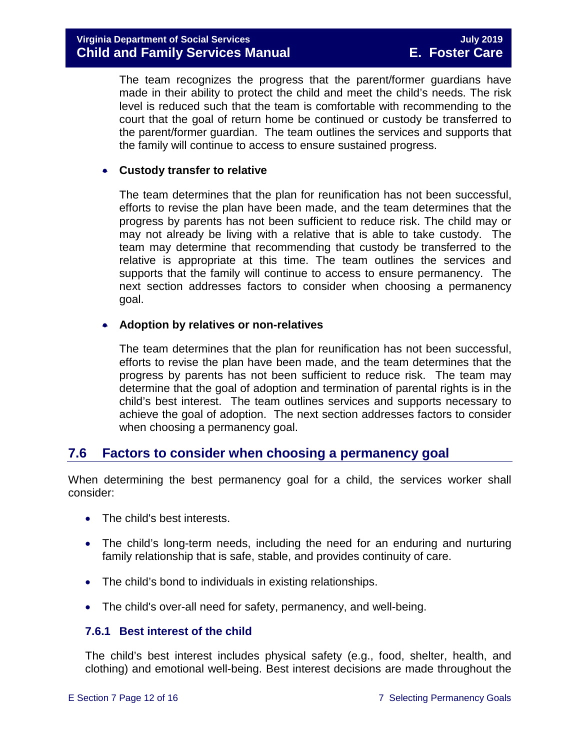The team recognizes the progress that the parent/former guardians have made in their ability to protect the child and meet the child's needs. The risk level is reduced such that the team is comfortable with recommending to the court that the goal of return home be continued or custody be transferred to the parent/former guardian. The team outlines the services and supports that the family will continue to access to ensure sustained progress.

#### • **Custody transfer to relative**

The team determines that the plan for reunification has not been successful, efforts to revise the plan have been made, and the team determines that the progress by parents has not been sufficient to reduce risk. The child may or may not already be living with a relative that is able to take custody. The team may determine that recommending that custody be transferred to the relative is appropriate at this time. The team outlines the services and supports that the family will continue to access to ensure permanency. The next section addresses factors to consider when choosing a permanency goal.

#### • **Adoption by relatives or non-relatives**

The team determines that the plan for reunification has not been successful, efforts to revise the plan have been made, and the team determines that the progress by parents has not been sufficient to reduce risk. The team may determine that the goal of adoption and termination of parental rights is in the child's best interest. The team outlines services and supports necessary to achieve the goal of adoption. The next section addresses factors to consider when choosing a permanency goal.

#### <span id="page-11-0"></span>**7.6 Factors to consider when choosing a permanency goal**

When determining the best permanency goal for a child, the services worker shall consider:

- The child's best interests.
- The child's long-term needs, including the need for an enduring and nurturing family relationship that is safe, stable, and provides continuity of care.
- The child's bond to individuals in existing relationships.
- The child's over-all need for safety, permanency, and well-being.

#### <span id="page-11-1"></span>**7.6.1 Best interest of the child**

The child's best interest includes physical safety (e.g., food, shelter, health, and clothing) and emotional well-being. Best interest decisions are made throughout the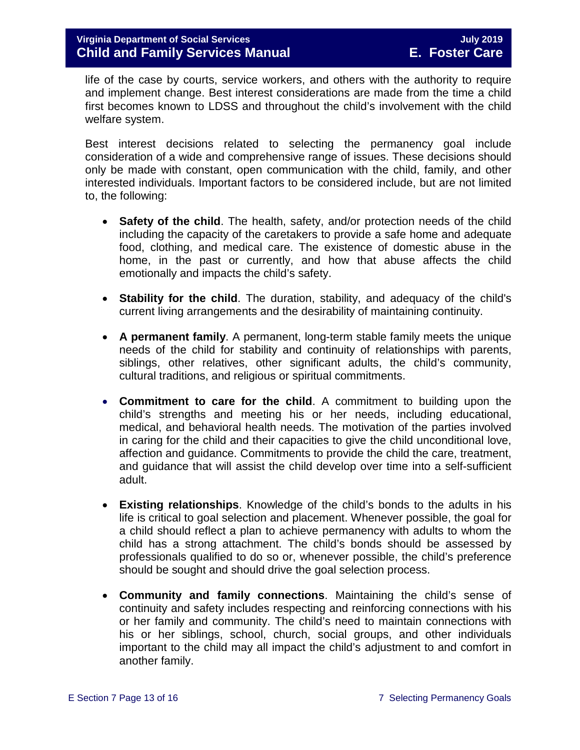life of the case by courts, service workers, and others with the authority to require and implement change. Best interest considerations are made from the time a child first becomes known to LDSS and throughout the child's involvement with the child welfare system.

Best interest decisions related to selecting the permanency goal include consideration of a wide and comprehensive range of issues. These decisions should only be made with constant, open communication with the child, family, and other interested individuals. Important factors to be considered include, but are not limited to, the following:

- **Safety of the child**. The health, safety, and/or protection needs of the child including the capacity of the caretakers to provide a safe home and adequate food, clothing, and medical care. The existence of domestic abuse in the home, in the past or currently, and how that abuse affects the child emotionally and impacts the child's safety.
- **Stability for the child**. The duration, stability, and adequacy of the child's current living arrangements and the desirability of maintaining continuity.
- **A permanent family**. A permanent, long-term stable family meets the unique needs of the child for stability and continuity of relationships with parents, siblings, other relatives, other significant adults, the child's community, cultural traditions, and religious or spiritual commitments.
- **Commitment to care for the child**. A commitment to building upon the child's strengths and meeting his or her needs, including educational, medical, and behavioral health needs. The motivation of the parties involved in caring for the child and their capacities to give the child unconditional love, affection and guidance. Commitments to provide the child the care, treatment, and guidance that will assist the child develop over time into a self-sufficient adult.
- **Existing relationships**. Knowledge of the child's bonds to the adults in his life is critical to goal selection and placement. Whenever possible, the goal for a child should reflect a plan to achieve permanency with adults to whom the child has a strong attachment. The child's bonds should be assessed by professionals qualified to do so or, whenever possible, the child's preference should be sought and should drive the goal selection process.
- **Community and family connections**. Maintaining the child's sense of continuity and safety includes respecting and reinforcing connections with his or her family and community. The child's need to maintain connections with his or her siblings, school, church, social groups, and other individuals important to the child may all impact the child's adjustment to and comfort in another family.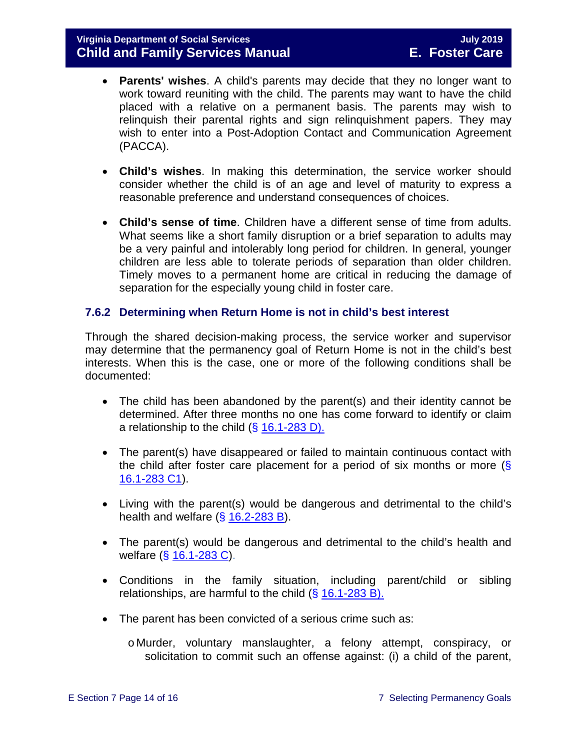- **Parents' wishes**. A child's parents may decide that they no longer want to work toward reuniting with the child. The parents may want to have the child placed with a relative on a permanent basis. The parents may wish to relinquish their parental rights and sign relinquishment papers. They may wish to enter into a Post-Adoption Contact and Communication Agreement (PACCA).
- **Child's wishes**. In making this determination, the service worker should consider whether the child is of an age and level of maturity to express a reasonable preference and understand consequences of choices.
- **Child's sense of time**. Children have a different sense of time from adults. What seems like a short family disruption or a brief separation to adults may be a very painful and intolerably long period for children. In general, younger children are less able to tolerate periods of separation than older children. Timely moves to a permanent home are critical in reducing the damage of separation for the especially young child in foster care.

#### <span id="page-13-0"></span>**7.6.2 Determining when Return Home is not in child's best interest**

Through the shared decision-making process, the service worker and supervisor may determine that the permanency goal of Return Home is not in the child's best interests. When this is the case, one or more of the following conditions shall be documented:

- The child has been abandoned by the parent(s) and their identity cannot be determined. After three months no one has come forward to identify or claim a relationship to the child (§ [16.1-283 D\).](http://law.lis.virginia.gov/vacode/16.1-283/)
- The parent(s) have disappeared or failed to maintain continuous contact with the child after foster care placement for a period of six months or more  $(\S$ [16.1-283 C1\)](http://law.lis.virginia.gov/vacode/16.1-283/).
- Living with the parent(s) would be dangerous and detrimental to the child's health and welfare  $( $\S$  16.2-283 B)$  $( $\S$  16.2-283 B)$ .
- The parent(s) would be dangerous and detrimental to the child's health and welfare (§ [16.1-283 C\)](http://law.lis.virginia.gov/vacode/16.1-283/).
- Conditions in the family situation, including parent/child or sibling relationships, are harmful to the child  $( $\S$  16.1-283 B).$  $( $\S$  16.1-283 B).$
- The parent has been convicted of a serious crime such as:

o Murder, voluntary manslaughter, a felony attempt, conspiracy, or solicitation to commit such an offense against: (i) a child of the parent,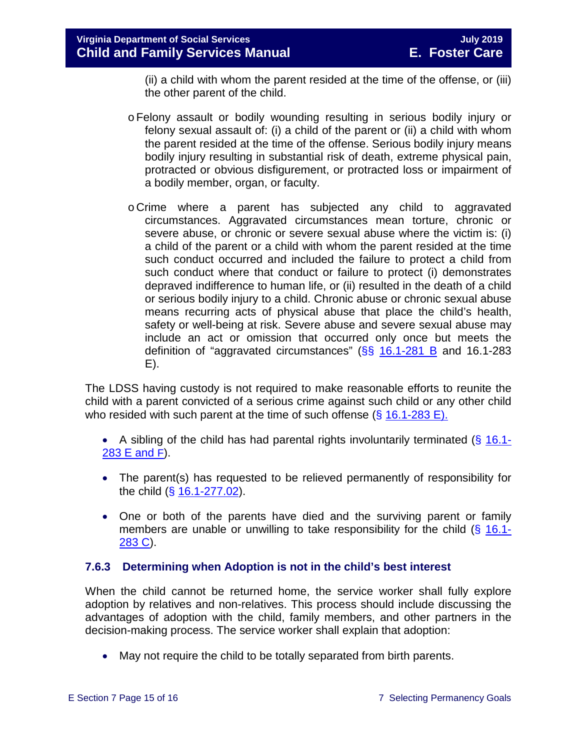(ii) a child with whom the parent resided at the time of the offense, or (iii) the other parent of the child.

- oFelony assault or bodily wounding resulting in serious bodily injury or felony sexual assault of: (i) a child of the parent or (ii) a child with whom the parent resided at the time of the offense. Serious bodily injury means bodily injury resulting in substantial risk of death, extreme physical pain, protracted or obvious disfigurement, or protracted loss or impairment of a bodily member, organ, or faculty.
- o Crime where a parent has subjected any child to aggravated circumstances. Aggravated circumstances mean torture, chronic or severe abuse, or chronic or severe sexual abuse where the victim is: (i) a child of the parent or a child with whom the parent resided at the time such conduct occurred and included the failure to protect a child from such conduct where that conduct or failure to protect (i) demonstrates depraved indifference to human life, or (ii) resulted in the death of a child or serious bodily injury to a child. Chronic abuse or chronic sexual abuse means recurring acts of physical abuse that place the child's health, safety or well-being at risk. Severe abuse and severe sexual abuse may include an act or omission that occurred only once but meets the definition of "aggravated circumstances" ( $\S$ § [16.1-281 B](http://law.lis.virginia.gov/vacode/16.1-281/) and 16.1-283 E).

The LDSS having custody is not required to make reasonable efforts to reunite the child with a parent convicted of a serious crime against such child or any other child who resided with such parent at the time of such offense  $(S$  [16.1-283 E\).](http://law.lis.virginia.gov/vacode/16.1-283/)

• A sibling of the child has had parental rights involuntarily terminated  $(\S$  [16.1-](http://law.lis.virginia.gov/vacode/16.1-283/) [283 E and F\)](http://law.lis.virginia.gov/vacode/16.1-283/).

- The parent(s) has requested to be relieved permanently of responsibility for the child (§ [16.1-277.02\)](http://law.lis.virginia.gov/vacode/16.1-277.02/).
- One or both of the parents have died and the surviving parent or family members are unable or unwilling to take responsibility for the child  $(\S 16.1$ -[283 C\)](http://law.lis.virginia.gov/vacode/16.1-283/).

#### <span id="page-14-0"></span>**7.6.3 Determining when Adoption is not in the child's best interest**

When the child cannot be returned home, the service worker shall fully explore adoption by relatives and non-relatives. This process should include discussing the advantages of adoption with the child, family members, and other partners in the decision-making process. The service worker shall explain that adoption:

• May not require the child to be totally separated from birth parents.